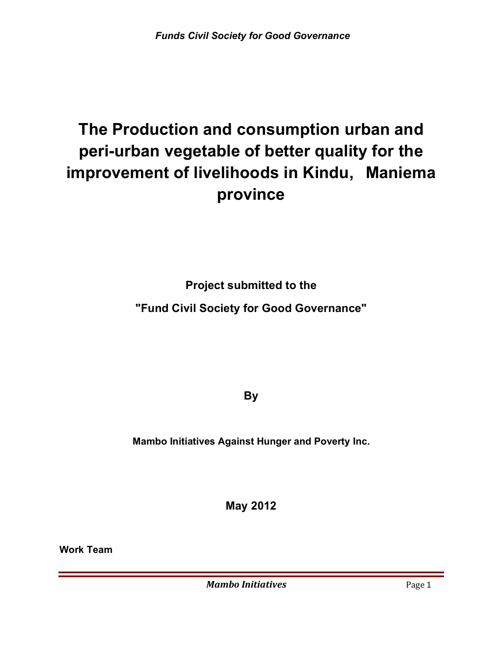# **The Production and consumption urban and peri-urban vegetable of better quality for the improvement of livelihoods in Kindu, Maniema province**

**Project submitted to the**

**"Fund Civil Society for Good Governance"**

**By**

**Mambo Initiatives Against Hunger and Poverty Inc.**

**May 2012**

**Work Team**

*Mambo Initiatives* Page 1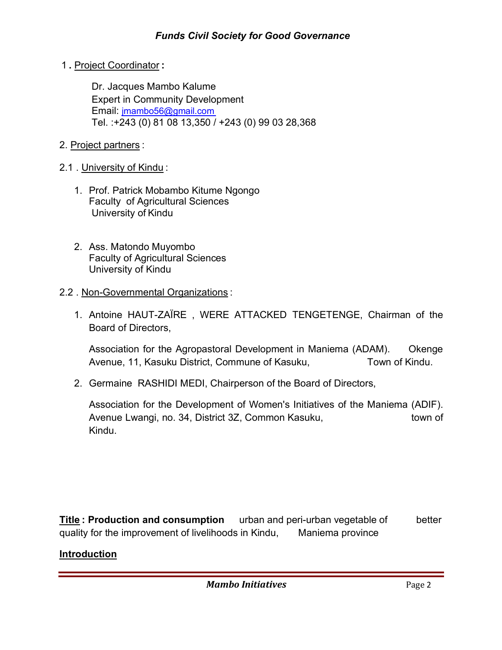1 **.** Project Coordinator **:**

Dr. Jacques Mambo Kalume Expert in Community Development Email: jmambo56@gmail.com Tel. :+243 (0) 81 08 13,350 / +243 (0) 99 03 28,368

2. Project partners :

#### 2.1 . University of Kindu :

- 1. Prof. Patrick Mobambo Kitume Ngongo Faculty of Agricultural Sciences University of Kindu
- 2. Ass. Matondo Muyombo Faculty of Agricultural Sciences University of Kindu
- 2.2 . Non-Governmental Organizations :
	- 1. Antoine HAUT-ZAÏRE , WERE ATTACKED TENGETENGE, Chairman of the Board of Directors,

Association for the Agropastoral Development in Maniema (ADAM). Okenge Avenue, 11, Kasuku District, Commune of Kasuku, Town of Kindu.

2. Germaine RASHIDI MEDI, Chairperson of the Board of Directors,

Association for the Development of Women's Initiatives of the Maniema (ADIF). Avenue Lwangi, no. 34, District 3Z, Common Kasuku, the common town of Kindu.

**Title : Production and consumption** urban and peri-urban vegetable of better quality for the improvement of livelihoods in Kindu, Maniema province

#### **Introduction**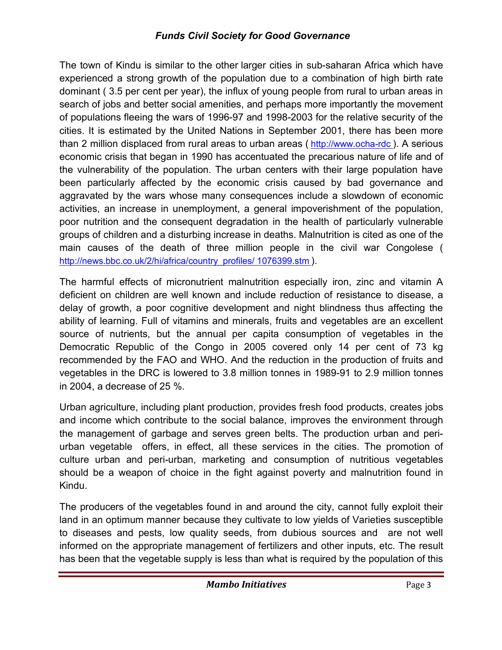The town of Kindu is similar to the other larger cities in sub-saharan Africa which have experienced a strong growth of the population due to a combination of high birth rate dominant ( 3.5 per cent per year), the influx of young people from rural to urban areas in search of jobs and better social amenities, and perhaps more importantly the movement of populations fleeing the wars of 1996-97 and 1998-2003 for the relative security of the cities. It is estimated by the United Nations in September 2001, there has been more than 2 million displaced from rural areas to urban areas ( http://www.ocha-rdc ). A serious economic crisis that began in 1990 has accentuated the precarious nature of life and of the vulnerability of the population. The urban centers with their large population have been particularly affected by the economic crisis caused by bad governance and aggravated by the wars whose many consequences include a slowdown of economic activities, an increase in unemployment, a general impoverishment of the population, poor nutrition and the consequent degradation in the health of particularly vulnerable groups of children and a disturbing increase in deaths. Malnutrition is cited as one of the main causes of the death of three million people in the civil war Congolese ( http://news.bbc.co.uk/2/hi/africa/country\_profiles/ 1076399.stm ).

The harmful effects of micronutrient malnutrition especially iron, zinc and vitamin A deficient on children are well known and include reduction of resistance to disease, a delay of growth, a poor cognitive development and night blindness thus affecting the ability of learning. Full of vitamins and minerals, fruits and vegetables are an excellent source of nutrients, but the annual per capita consumption of vegetables in the Democratic Republic of the Congo in 2005 covered only 14 per cent of 73 kg recommended by the FAO and WHO. And the reduction in the production of fruits and vegetables in the DRC is lowered to 3.8 million tonnes in 1989-91 to 2.9 million tonnes in 2004, a decrease of 25 %.

Urban agriculture, including plant production, provides fresh food products, creates jobs and income which contribute to the social balance, improves the environment through the management of garbage and serves green belts. The production urban and periurban vegetable offers, in effect, all these services in the cities. The promotion of culture urban and peri-urban, marketing and consumption of nutritious vegetables should be a weapon of choice in the fight against poverty and malnutrition found in Kindu.

The producers of the vegetables found in and around the city, cannot fully exploit their land in an optimum manner because they cultivate to low yields of Varieties susceptible to diseases and pests, low quality seeds, from dubious sources and are not well informed on the appropriate management of fertilizers and other inputs, etc. The result has been that the vegetable supply is less than what is required by the population of this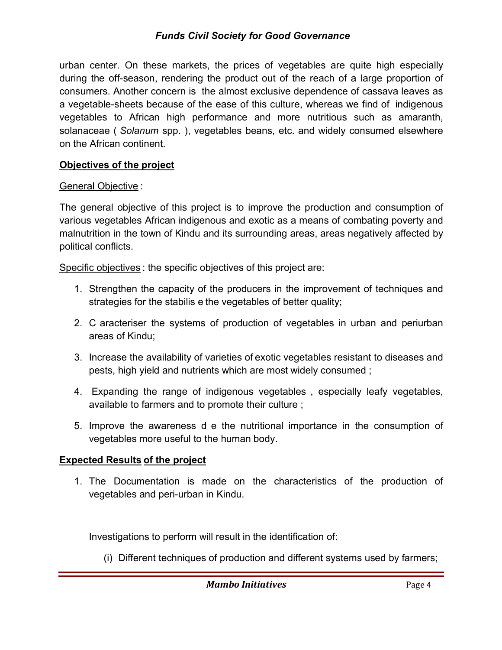urban center. On these markets, the prices of vegetables are quite high especially during the off-season, rendering the product out of the reach of a large proportion of consumers. Another concern is the almost exclusive dependence of cassava leaves as a vegetable-sheets because of the ease of this culture, whereas we find of indigenous vegetables to African high performance and more nutritious such as amaranth, solanaceae ( *Solanum* spp. ), vegetables beans, etc. and widely consumed elsewhere on the African continent.

#### **Objectives of the project**

#### General Objective :

The general objective of this project is to improve the production and consumption of various vegetables African indigenous and exotic as a means of combating poverty and malnutrition in the town of Kindu and its surrounding areas, areas negatively affected by political conflicts.

Specific objectives : the specific objectives of this project are:

- 1. Strengthen the capacity of the producers in the improvement of techniques and strategies for the stabilis e the vegetables of better quality;
- 2. C aracteriser the systems of production of vegetables in urban and periurban areas of Kindu;
- 3. Increase the availability of varieties of exotic vegetables resistant to diseases and pests, high yield and nutrients which are most widely consumed ;
- 4. Expanding the range of indigenous vegetables , especially leafy vegetables, available to farmers and to promote their culture ;
- 5. Improve the awareness d e the nutritional importance in the consumption of vegetables more useful to the human body.

### **Expected Results of the project**

1. The Documentation is made on the characteristics of the production of vegetables and peri-urban in Kindu.

Investigations to perform will result in the identification of:

(i) Different techniques of production and different systems used by farmers;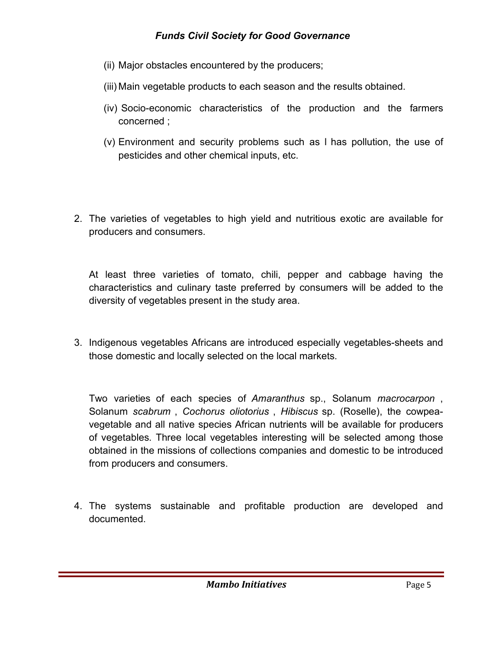- (ii) Major obstacles encountered by the producers;
- (iii) Main vegetable products to each season and the results obtained.
- (iv) Socio-economic characteristics of the production and the farmers concerned ;
- (v) Environment and security problems such as l has pollution, the use of pesticides and other chemical inputs, etc.
- 2. The varieties of vegetables to high yield and nutritious exotic are available for producers and consumers.

At least three varieties of tomato, chili, pepper and cabbage having the characteristics and culinary taste preferred by consumers will be added to the diversity of vegetables present in the study area.

3. Indigenous vegetables Africans are introduced especially vegetables-sheets and those domestic and locally selected on the local markets.

Two varieties of each species of *Amaranthus* sp., Solanum *macrocarpon* , Solanum *scabrum* , *Cochorus oliotorius* , *Hibiscus* sp. (Roselle), the cowpeavegetable and all native species African nutrients will be available for producers of vegetables. Three local vegetables interesting will be selected among those obtained in the missions of collections companies and domestic to be introduced from producers and consumers.

4. The systems sustainable and profitable production are developed and documented.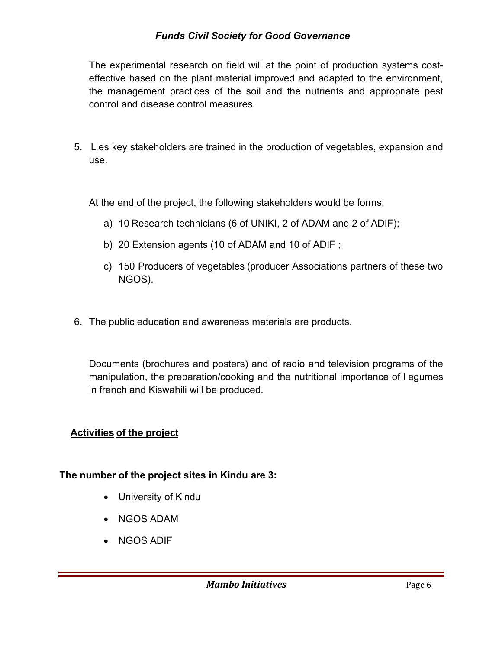The experimental research on field will at the point of production systems costeffective based on the plant material improved and adapted to the environment, the management practices of the soil and the nutrients and appropriate pest control and disease control measures.

5. L es key stakeholders are trained in the production of vegetables, expansion and use.

At the end of the project, the following stakeholders would be forms:

- a) 10 Research technicians (6 of UNIKI, 2 of ADAM and 2 of ADIF);
- b) 20 Extension agents (10 of ADAM and 10 of ADIF ;
- c) 150 Producers of vegetables (producer Associations partners of these two NGOS).
- 6. The public education and awareness materials are products.

Documents (brochures and posters) and of radio and television programs of the manipulation, the preparation/cooking and the nutritional importance of l egumes in french and Kiswahili will be produced.

### **Activities of the project**

#### **The number of the project sites in Kindu are 3:**

- University of Kindu
- NGOS ADAM
- NGOS ADIF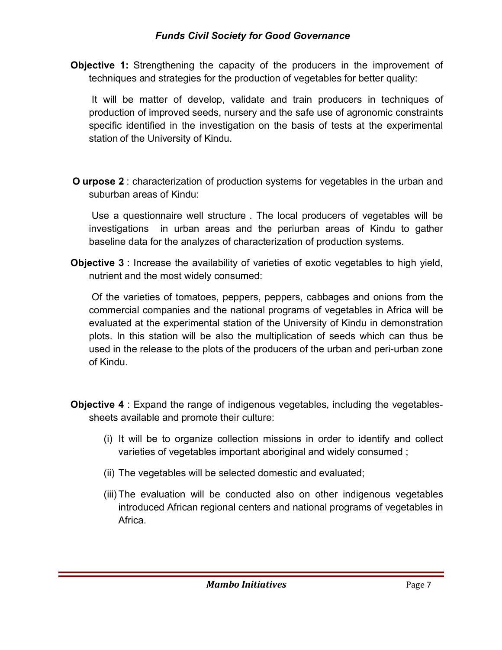**Objective 1:** Strengthening the capacity of the producers in the improvement of techniques and strategies for the production of vegetables for better quality:

It will be matter of develop, validate and train producers in techniques of production of improved seeds, nursery and the safe use of agronomic constraints specific identified in the investigation on the basis of tests at the experimental station of the University of Kindu.

**O urpose 2** : characterization of production systems for vegetables in the urban and suburban areas of Kindu:

Use a questionnaire well structure . The local producers of vegetables will be investigations in urban areas and the periurban areas of Kindu to gather baseline data for the analyzes of characterization of production systems.

**Objective 3** : Increase the availability of varieties of exotic vegetables to high yield, nutrient and the most widely consumed:

Of the varieties of tomatoes, peppers, peppers, cabbages and onions from the commercial companies and the national programs of vegetables in Africa will be evaluated at the experimental station of the University of Kindu in demonstration plots. In this station will be also the multiplication of seeds which can thus be used in the release to the plots of the producers of the urban and peri-urban zone of Kindu.

- **Objective 4** : Expand the range of indigenous vegetables, including the vegetablessheets available and promote their culture:
	- (i) It will be to organize collection missions in order to identify and collect varieties of vegetables important aboriginal and widely consumed ;
	- (ii) The vegetables will be selected domestic and evaluated;
	- (iii) The evaluation will be conducted also on other indigenous vegetables introduced African regional centers and national programs of vegetables in Africa.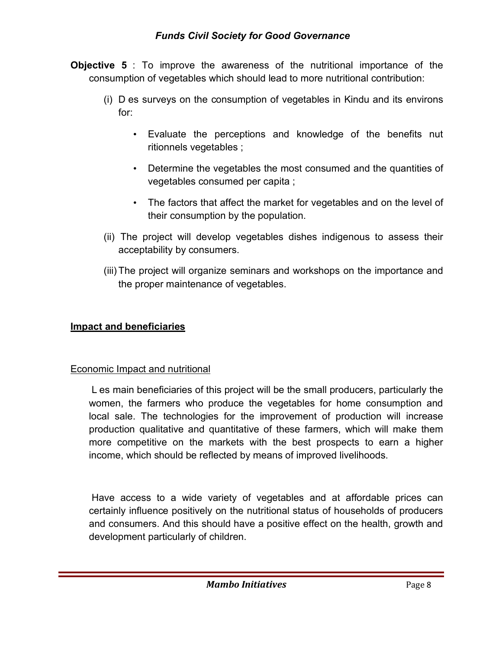- **Objective 5** : To improve the awareness of the nutritional importance of the consumption of vegetables which should lead to more nutritional contribution:
	- (i) D es surveys on the consumption of vegetables in Kindu and its environs for:
		- Evaluate the perceptions and knowledge of the benefits nut ritionnels vegetables ;
		- Determine the vegetables the most consumed and the quantities of vegetables consumed per capita ;
		- The factors that affect the market for vegetables and on the level of their consumption by the population.
	- (ii) The project will develop vegetables dishes indigenous to assess their acceptability by consumers.
	- (iii) The project will organize seminars and workshops on the importance and the proper maintenance of vegetables.

#### **Impact and beneficiaries**

#### Economic Impact and nutritional

L es main beneficiaries of this project will be the small producers, particularly the women, the farmers who produce the vegetables for home consumption and local sale. The technologies for the improvement of production will increase production qualitative and quantitative of these farmers, which will make them more competitive on the markets with the best prospects to earn a higher income, which should be reflected by means of improved livelihoods.

Have access to a wide variety of vegetables and at affordable prices can certainly influence positively on the nutritional status of households of producers and consumers. And this should have a positive effect on the health, growth and development particularly of children.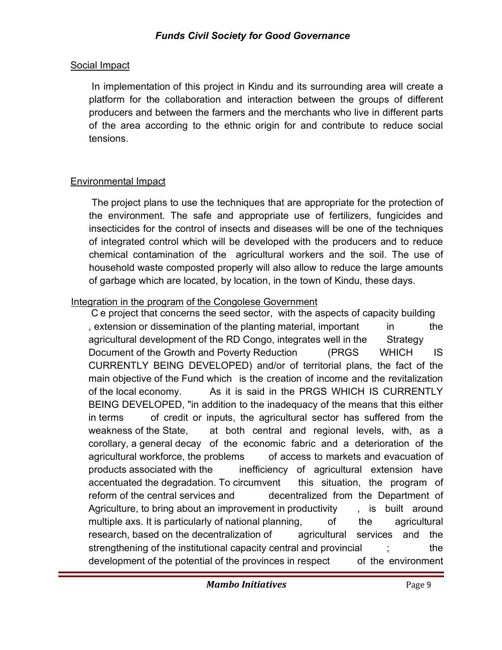### Social Impact

In implementation of this project in Kindu and its surrounding area will create a platform for the collaboration and interaction between the groups of different producers and between the farmers and the merchants who live in different parts of the area according to the ethnic origin for and contribute to reduce social tensions.

### Environmental Impact

The project plans to use the techniques that are appropriate for the protection of the environment. The safe and appropriate use of fertilizers, fungicides and insecticides for the control of insects and diseases will be one of the techniques of integrated control which will be developed with the producers and to reduce chemical contamination of the agricultural workers and the soil. The use of household waste composted properly will also allow to reduce the large amounts of garbage which are located, by location, in the town of Kindu, these days.

## Integration in the program of the Congolese Government

C e project that concerns the seed sector, with the aspects of capacity building , extension or dissemination of the planting material, important in the agricultural development of the RD Congo, integrates well in the Strategy Document of the Growth and Poverty Reduction (PRGS WHICH IS CURRENTLY BEING DEVELOPED) and/or of territorial plans, the fact of the main objective of the Fund which is the creation of income and the revitalization of the local economy. As it is said in the PRGS WHICH IS CURRENTLY BEING DEVELOPED, "in addition to the inadequacy of the means that this either in terms of credit or inputs, the agricultural sector has suffered from the weakness of the State, at both central and regional levels, with, as a corollary, a general decay of the economic fabric and a deterioration of the agricultural workforce, the problems of access to markets and evacuation of products associated with the inefficiency of agricultural extension have accentuated the degradation. To circumvent this situation, the program of reform of the central services and decentralized from the Department of Agriculture, to bring about an improvement in productivity , is built around multiple axs. It is particularly of national planning, of the agricultural research, based on the decentralization of agricultural services and the strengthening of the institutional capacity central and provincial  $\qquad$ ; the development of the potential of the provinces in respect of the environment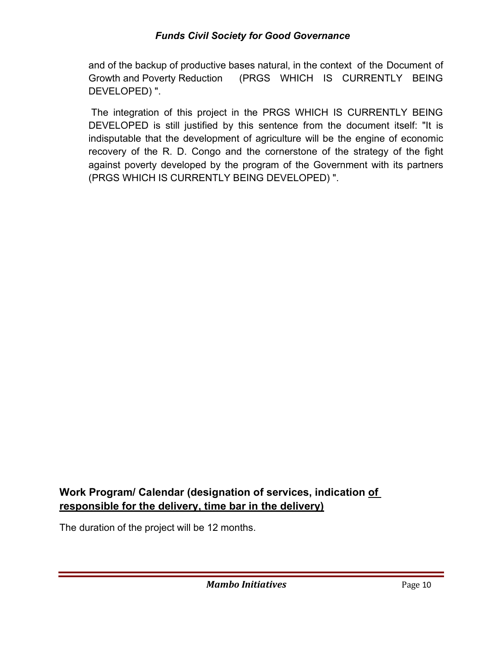and of the backup of productive bases natural, in the context of the Document of Growth and Poverty Reduction (PRGS WHICH IS CURRENTLY BEING DEVELOPED) ".

The integration of this project in the PRGS WHICH IS CURRENTLY BEING DEVELOPED is still justified by this sentence from the document itself: "It is indisputable that the development of agriculture will be the engine of economic recovery of the R. D. Congo and the cornerstone of the strategy of the fight against poverty developed by the program of the Government with its partners (PRGS WHICH IS CURRENTLY BEING DEVELOPED) ".

# **Work Program/ Calendar (designation of services, indication of responsible for the delivery, time bar in the delivery)**

The duration of the project will be 12 months.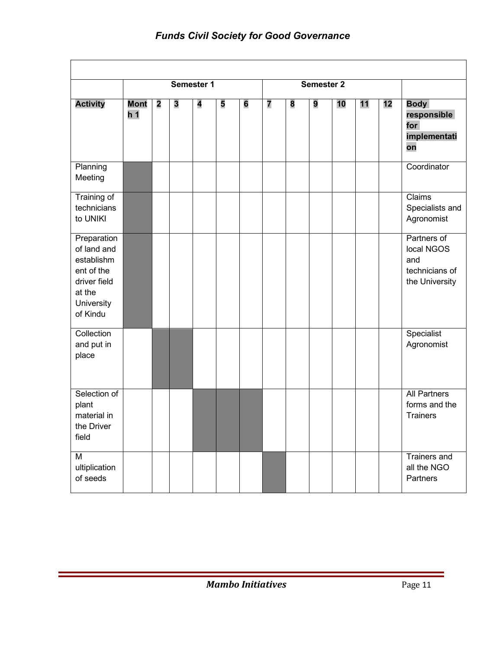|                                                                                                            |                               |                         | Semester 1              |                         | Semester 2 |                |   |   |   |    |    |    |                                                                      |
|------------------------------------------------------------------------------------------------------------|-------------------------------|-------------------------|-------------------------|-------------------------|------------|----------------|---|---|---|----|----|----|----------------------------------------------------------------------|
| <b>Activity</b>                                                                                            | <b>Mont</b><br>h <sub>1</sub> | $\overline{\mathbf{2}}$ | $\overline{\mathbf{3}}$ | $\overline{\mathbf{4}}$ | 5          | $6\phantom{a}$ | 7 | 8 | 9 | 10 | 11 | 12 | <b>Body</b><br>responsible<br>for<br>implementati<br>on              |
| Planning<br>Meeting                                                                                        |                               |                         |                         |                         |            |                |   |   |   |    |    |    | Coordinator                                                          |
| Training of<br>technicians<br>to UNIKI                                                                     |                               |                         |                         |                         |            |                |   |   |   |    |    |    | Claims<br>Specialists and<br>Agronomist                              |
| Preparation<br>of land and<br>establishm<br>ent of the<br>driver field<br>at the<br>University<br>of Kindu |                               |                         |                         |                         |            |                |   |   |   |    |    |    | Partners of<br>local NGOS<br>and<br>technicians of<br>the University |
| Collection<br>and put in<br>place                                                                          |                               |                         |                         |                         |            |                |   |   |   |    |    |    | Specialist<br>Agronomist                                             |
| Selection of<br>plant<br>material in<br>the Driver<br>field                                                |                               |                         |                         |                         |            |                |   |   |   |    |    |    | <b>All Partners</b><br>forms and the<br><b>Trainers</b>              |
| M<br>ultiplication<br>of seeds                                                                             |                               |                         |                         |                         |            |                |   |   |   |    |    |    | <b>Trainers and</b><br>all the NGO<br>Partners                       |

Ξ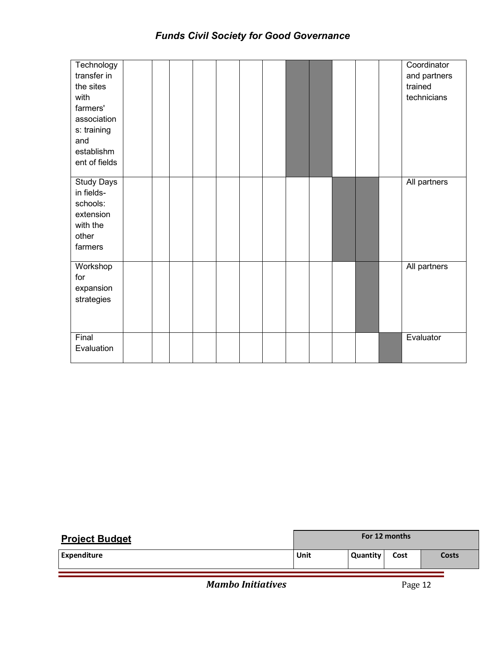| Technology        |  |  |  |  |  |  | Coordinator  |
|-------------------|--|--|--|--|--|--|--------------|
| transfer in       |  |  |  |  |  |  | and partners |
| the sites         |  |  |  |  |  |  | trained      |
| with              |  |  |  |  |  |  | technicians  |
| farmers'          |  |  |  |  |  |  |              |
| association       |  |  |  |  |  |  |              |
| s: training       |  |  |  |  |  |  |              |
| and               |  |  |  |  |  |  |              |
| establishm        |  |  |  |  |  |  |              |
| ent of fields     |  |  |  |  |  |  |              |
| <b>Study Days</b> |  |  |  |  |  |  | All partners |
| in fields-        |  |  |  |  |  |  |              |
| schools:          |  |  |  |  |  |  |              |
| extension         |  |  |  |  |  |  |              |
| with the          |  |  |  |  |  |  |              |
| other             |  |  |  |  |  |  |              |
| farmers           |  |  |  |  |  |  |              |
|                   |  |  |  |  |  |  |              |
| Workshop          |  |  |  |  |  |  | All partners |
| for               |  |  |  |  |  |  |              |
| expansion         |  |  |  |  |  |  |              |
| strategies        |  |  |  |  |  |  |              |
|                   |  |  |  |  |  |  |              |
|                   |  |  |  |  |  |  |              |
| Final             |  |  |  |  |  |  | Evaluator    |
| Evaluation        |  |  |  |  |  |  |              |
|                   |  |  |  |  |  |  |              |

| <b>Project Budget</b> | For 12 months |          |      |       |  |  |  |
|-----------------------|---------------|----------|------|-------|--|--|--|
| <b>Expenditure</b>    | Unit          | Quantity | Cost | Costs |  |  |  |
|                       |               |          |      |       |  |  |  |

*Mambo Initiatives* Page 12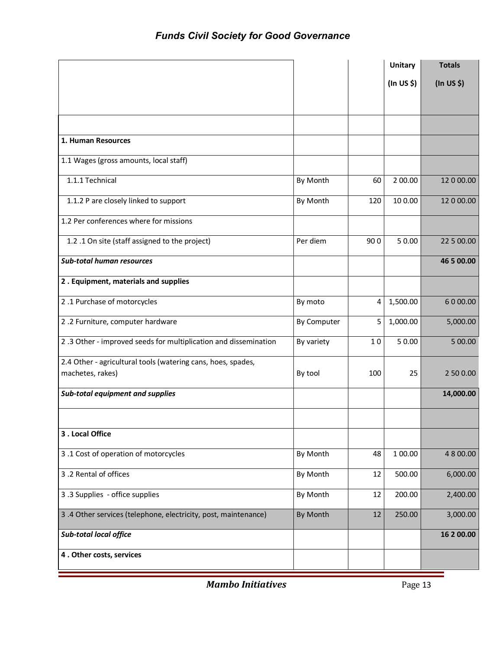|                                                                 |             |     | <b>Unitary</b> | <b>Totals</b> |
|-----------------------------------------------------------------|-------------|-----|----------------|---------------|
|                                                                 |             |     | (In US \$)     | (In US \$)    |
|                                                                 |             |     |                |               |
|                                                                 |             |     |                |               |
|                                                                 |             |     |                |               |
| 1. Human Resources                                              |             |     |                |               |
| 1.1 Wages (gross amounts, local staff)                          |             |     |                |               |
| 1.1.1 Technical                                                 | By Month    | 60  | 2 00.00        | 12 0 00.00    |
| 1.1.2 P are closely linked to support                           | By Month    | 120 | 10 0.00        | 12 0 00.00    |
| 1.2 Per conferences where for missions                          |             |     |                |               |
| 1.2 .1 On site (staff assigned to the project)                  | Per diem    | 900 | 5 0.00         | 22 5 00.00    |
| <b>Sub-total human resources</b>                                |             |     |                | 46 5 00.00    |
| 2. Equipment, materials and supplies                            |             |     |                |               |
| 2.1 Purchase of motorcycles                                     | By moto     | 4   | 1,500.00       | 6000.00       |
| 2.2 Furniture, computer hardware                                | By Computer | 5   | 1,000.00       | 5,000.00      |
| 2.3 Other - improved seeds for multiplication and dissemination | By variety  | 10  | 50.00          | 5 00.00       |
| 2.4 Other - agricultural tools (watering cans, hoes, spades,    |             |     |                |               |
| machetes, rakes)                                                | By tool     | 100 | 25             | 2 50 0.00     |
| Sub-total equipment and supplies                                |             |     |                | 14,000.00     |
|                                                                 |             |     |                |               |
| 3. Local Office                                                 |             |     |                |               |
| 3.1 Cost of operation of motorcycles                            | By Month    | 48  | 1 00.00        | 4 8 00.00     |
| 3.2 Rental of offices                                           | By Month    | 12  | 500.00         | 6,000.00      |
| 3.3 Supplies - office supplies                                  | By Month    | 12  | 200.00         | 2,400.00      |
| 3.4 Other services (telephone, electricity, post, maintenance)  | By Month    | 12  | 250.00         | 3,000.00      |
| Sub-total local office                                          |             |     |                | 16 2 00.00    |
| 4. Other costs, services                                        |             |     |                |               |

*Mambo Initiatives* Page 13